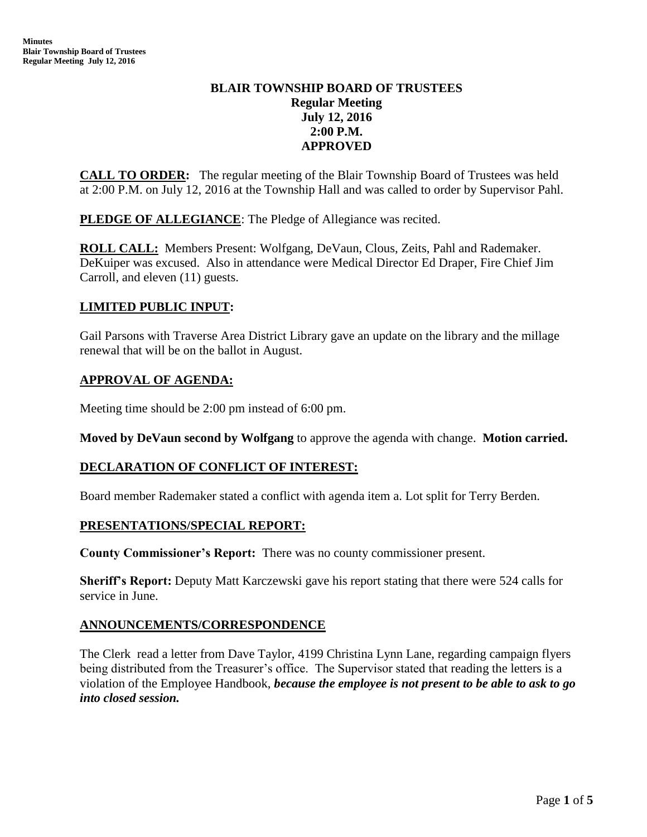# **BLAIR TOWNSHIP BOARD OF TRUSTEES Regular Meeting July 12, 2016 2:00 P.M. APPROVED**

**CALL TO ORDER:** The regular meeting of the Blair Township Board of Trustees was held at 2:00 P.M. on July 12, 2016 at the Township Hall and was called to order by Supervisor Pahl.

**PLEDGE OF ALLEGIANCE:** The Pledge of Allegiance was recited.

**ROLL CALL:** Members Present: Wolfgang, DeVaun, Clous, Zeits, Pahl and Rademaker. DeKuiper was excused. Also in attendance were Medical Director Ed Draper, Fire Chief Jim Carroll, and eleven (11) guests.

# **LIMITED PUBLIC INPUT:**

Gail Parsons with Traverse Area District Library gave an update on the library and the millage renewal that will be on the ballot in August.

### **APPROVAL OF AGENDA:**

Meeting time should be 2:00 pm instead of 6:00 pm.

**Moved by DeVaun second by Wolfgang** to approve the agenda with change. **Motion carried.**

### **DECLARATION OF CONFLICT OF INTEREST:**

Board member Rademaker stated a conflict with agenda item a. Lot split for Terry Berden.

### **PRESENTATIONS/SPECIAL REPORT:**

**County Commissioner's Report:** There was no county commissioner present.

**Sheriff's Report:** Deputy Matt Karczewski gave his report stating that there were 524 calls for service in June.

### **ANNOUNCEMENTS/CORRESPONDENCE**

The Clerk read a letter from Dave Taylor, 4199 Christina Lynn Lane, regarding campaign flyers being distributed from the Treasurer's office. The Supervisor stated that reading the letters is a violation of the Employee Handbook, *because the employee is not present to be able to ask to go into closed session.*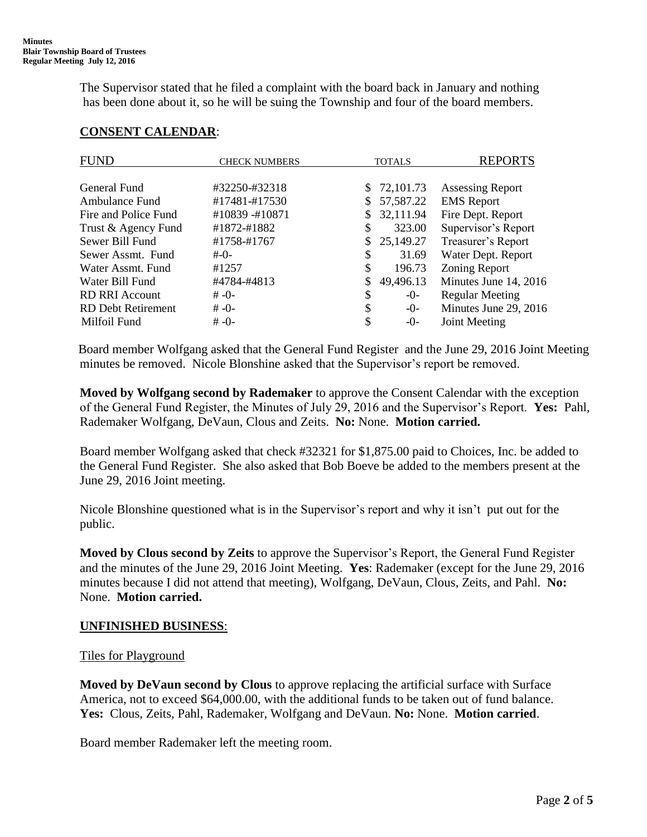The Supervisor stated that he filed a complaint with the board back in January and nothing has been done about it, so he will be suing the Township and four of the board members.

| FUND                      | <b>CHECK NUMBERS</b> | <b>TOTALS</b> |           | <b>REPORTS</b>          |
|---------------------------|----------------------|---------------|-----------|-------------------------|
| General Fund              | #32250-#32318        | \$            | 72,101.73 | <b>Assessing Report</b> |
| Ambulance Fund            | #17481-#17530        |               | 57,587.22 | <b>EMS</b> Report       |
| Fire and Police Fund      | #10839 -#10871       |               | 32,111.94 | Fire Dept. Report       |
| Trust & Agency Fund       | #1872-#1882          | \$            | 323.00    | Supervisor's Report     |
| Sewer Bill Fund           | #1758-#1767          | \$            | 25,149.27 | Treasurer's Report      |
| Sewer Assmt. Fund         | $# - 0 -$            | \$            | 31.69     | Water Dept. Report      |
| Water Assmt, Fund         | #1257                | \$            | 196.73    | Zoning Report           |
| Water Bill Fund           | #4784-#4813          | \$            | 49,496.13 | Minutes June 14, 2016   |
| <b>RD RRI Account</b>     | $# -0-$              | \$            | $-0-$     | <b>Regular Meeting</b>  |
| <b>RD</b> Debt Retirement | $# -0-$              | \$            | -0-       | Minutes June 29, 2016   |
| Milfoil Fund              | $# -() -$            |               | $-0-$     | Joint Meeting           |

# **CONSENT CALENDAR**:

 Board member Wolfgang asked that the General Fund Register and the June 29, 2016 Joint Meeting minutes be removed. Nicole Blonshine asked that the Supervisor's report be removed.

 **Moved by Wolfgang second by Rademaker** to approve the Consent Calendar with the exception of the General Fund Register, the Minutes of July 29, 2016 and the Supervisor's Report. **Yes:** Pahl, Rademaker Wolfgang, DeVaun, Clous and Zeits. **No:** None. **Motion carried.**

Board member Wolfgang asked that check #32321 for \$1,875.00 paid to Choices, Inc. be added to the General Fund Register. She also asked that Bob Boeve be added to the members present at the June 29, 2016 Joint meeting.

 Nicole Blonshine questioned what is in the Supervisor's report and why it isn't put out for the public.

 **Moved by Clous second by Zeits** to approve the Supervisor's Report, the General Fund Register and the minutes of the June 29, 2016 Joint Meeting. **Yes**: Rademaker (except for the June 29, 2016 minutes because I did not attend that meeting), Wolfgang, DeVaun, Clous, Zeits, and Pahl. **No:** None. **Motion carried.**

### **UNFINISHED BUSINESS**:

#### Tiles for Playground

 **Moved by DeVaun second by Clous** to approve replacing the artificial surface with Surface America, not to exceed \$64,000.00, with the additional funds to be taken out of fund balance. **Yes:** Clous, Zeits, Pahl, Rademaker, Wolfgang and DeVaun. **No:** None. **Motion carried**.

Board member Rademaker left the meeting room.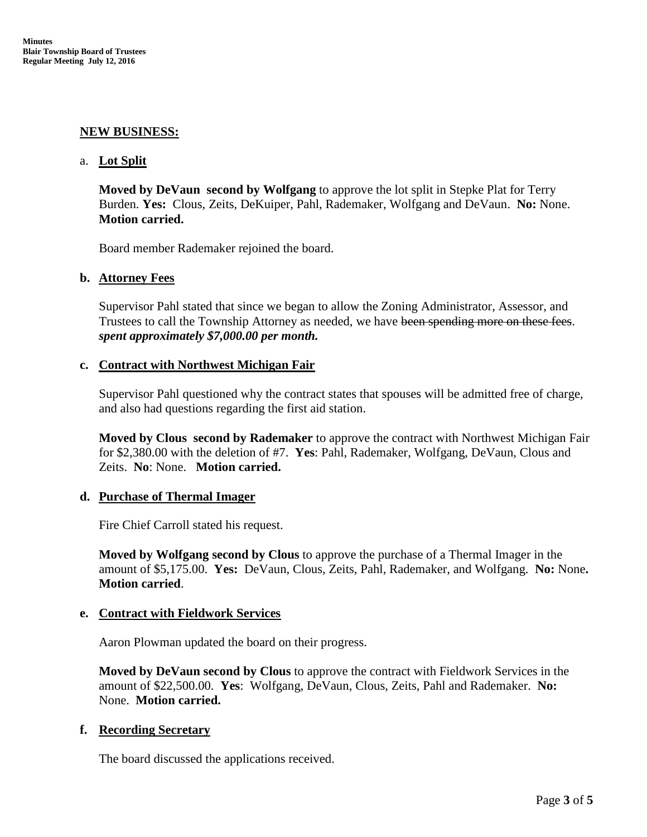### **NEW BUSINESS:**

#### a. **Lot Split**

**Moved by DeVaun second by Wolfgang** to approve the lot split in Stepke Plat for Terry Burden. **Yes:** Clous, Zeits, DeKuiper, Pahl, Rademaker, Wolfgang and DeVaun. **No:** None. **Motion carried.**

Board member Rademaker rejoined the board.

#### **b. Attorney Fees**

Supervisor Pahl stated that since we began to allow the Zoning Administrator, Assessor, and Trustees to call the Township Attorney as needed, we have been spending more on these fees. *spent approximately \$7,000.00 per month.* 

#### **c. Contract with Northwest Michigan Fair**

Supervisor Pahl questioned why the contract states that spouses will be admitted free of charge, and also had questions regarding the first aid station.

**Moved by Clous second by Rademaker** to approve the contract with Northwest Michigan Fair for \$2,380.00 with the deletion of #7. **Yes**: Pahl, Rademaker, Wolfgang, DeVaun, Clous and Zeits. **No**: None. **Motion carried.**

#### **d. Purchase of Thermal Imager**

Fire Chief Carroll stated his request.

**Moved by Wolfgang second by Clous** to approve the purchase of a Thermal Imager in the amount of \$5,175.00. **Yes:** DeVaun, Clous, Zeits, Pahl, Rademaker, and Wolfgang. **No:** None**. Motion carried**.

### **e. Contract with Fieldwork Services**

Aaron Plowman updated the board on their progress.

**Moved by DeVaun second by Clous** to approve the contract with Fieldwork Services in the amount of \$22,500.00. **Yes**: Wolfgang, DeVaun, Clous, Zeits, Pahl and Rademaker. **No:** None. **Motion carried.**

### **f. Recording Secretary**

The board discussed the applications received.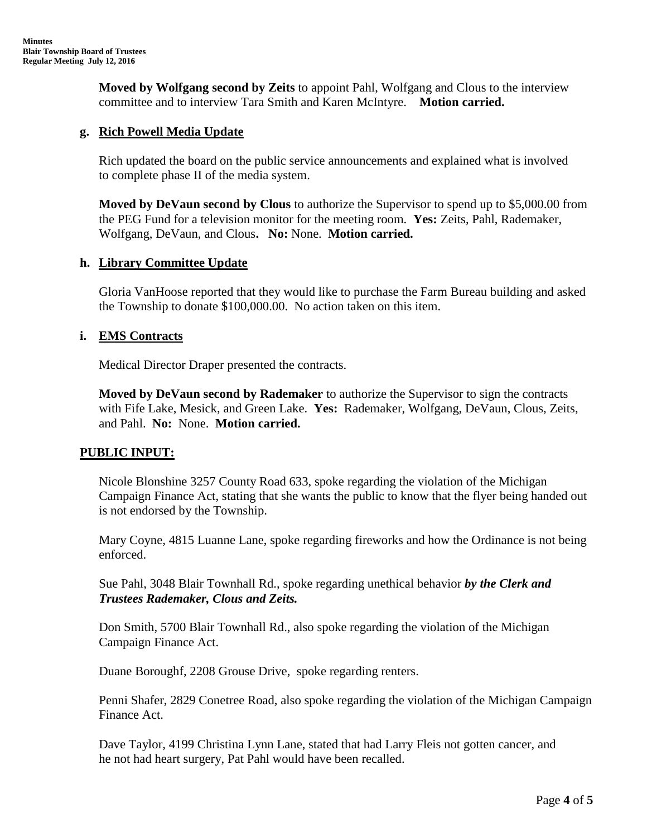**Moved by Wolfgang second by Zeits** to appoint Pahl, Wolfgang and Clous to the interview committee and to interview Tara Smith and Karen McIntyre. **Motion carried.**

### **g. Rich Powell Media Update**

Rich updated the board on the public service announcements and explained what is involved to complete phase II of the media system.

**Moved by DeVaun second by Clous** to authorize the Supervisor to spend up to \$5,000.00 from the PEG Fund for a television monitor for the meeting room. **Yes:** Zeits, Pahl, Rademaker, Wolfgang, DeVaun, and Clous**. No:** None. **Motion carried.**

#### **h. Library Committee Update**

Gloria VanHoose reported that they would like to purchase the Farm Bureau building and asked the Township to donate \$100,000.00. No action taken on this item.

### **i. EMS Contracts**

Medical Director Draper presented the contracts.

**Moved by DeVaun second by Rademaker** to authorize the Supervisor to sign the contracts with Fife Lake, Mesick, and Green Lake. **Yes:** Rademaker, Wolfgang, DeVaun, Clous, Zeits, and Pahl. **No:** None. **Motion carried.**

### **PUBLIC INPUT:**

Nicole Blonshine 3257 County Road 633, spoke regarding the violation of the Michigan Campaign Finance Act, stating that she wants the public to know that the flyer being handed out is not endorsed by the Township.

Mary Coyne, 4815 Luanne Lane, spoke regarding fireworks and how the Ordinance is not being enforced.

Sue Pahl, 3048 Blair Townhall Rd., spoke regarding unethical behavior *by the Clerk and Trustees Rademaker, Clous and Zeits.*

Don Smith, 5700 Blair Townhall Rd., also spoke regarding the violation of the Michigan Campaign Finance Act.

Duane Boroughf, 2208 Grouse Drive, spoke regarding renters.

Penni Shafer, 2829 Conetree Road, also spoke regarding the violation of the Michigan Campaign Finance Act.

Dave Taylor, 4199 Christina Lynn Lane, stated that had Larry Fleis not gotten cancer, and he not had heart surgery, Pat Pahl would have been recalled.